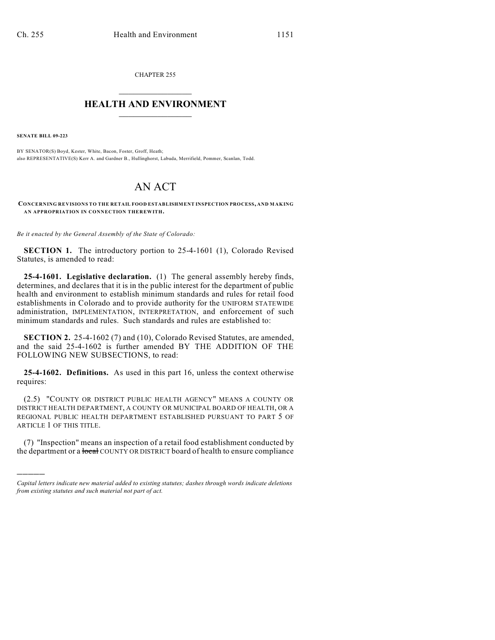CHAPTER 255  $\mathcal{L}_\text{max}$  . The set of the set of the set of the set of the set of the set of the set of the set of the set of the set of the set of the set of the set of the set of the set of the set of the set of the set of the set

## **HEALTH AND ENVIRONMENT**  $\_$

**SENATE BILL 09-223**

)))))

BY SENATOR(S) Boyd, Kester, White, Bacon, Foster, Groff, Heath; also REPRESENTATIVE(S) Kerr A. and Gardner B., Hullinghorst, Labuda, Merrifield, Pommer, Scanlan, Todd.

## AN ACT

**CONCERNING REVISIONS TO THE RETAIL FOOD ESTABLISHMENT INSPECTION PROCESS, AND MAKING AN APPROPRIATION IN CONNECTION THEREWITH.**

*Be it enacted by the General Assembly of the State of Colorado:*

**SECTION 1.** The introductory portion to 25-4-1601 (1), Colorado Revised Statutes, is amended to read:

**25-4-1601. Legislative declaration.** (1) The general assembly hereby finds, determines, and declares that it is in the public interest for the department of public health and environment to establish minimum standards and rules for retail food establishments in Colorado and to provide authority for the UNIFORM STATEWIDE administration, IMPLEMENTATION, INTERPRETATION, and enforcement of such minimum standards and rules. Such standards and rules are established to:

**SECTION 2.** 25-4-1602 (7) and (10), Colorado Revised Statutes, are amended, and the said 25-4-1602 is further amended BY THE ADDITION OF THE FOLLOWING NEW SUBSECTIONS, to read:

**25-4-1602. Definitions.** As used in this part 16, unless the context otherwise requires:

(2.5) "COUNTY OR DISTRICT PUBLIC HEALTH AGENCY" MEANS A COUNTY OR DISTRICT HEALTH DEPARTMENT, A COUNTY OR MUNICIPAL BOARD OF HEALTH, OR A REGIONAL PUBLIC HEALTH DEPARTMENT ESTABLISHED PURSUANT TO PART 5 OF ARTICLE 1 OF THIS TITLE.

(7) "Inspection" means an inspection of a retail food establishment conducted by the department or a **local** COUNTY OR DISTRICT board of health to ensure compliance

*Capital letters indicate new material added to existing statutes; dashes through words indicate deletions from existing statutes and such material not part of act.*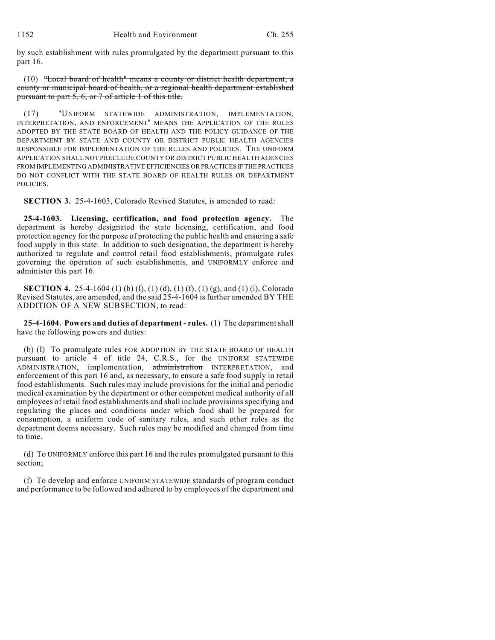by such establishment with rules promulgated by the department pursuant to this part 16.

(10) "Local board of health" means a county or district health department, a county or municipal board of health, or a regional health department established pursuant to part 5, 6, or 7 of article 1 of this title.

(17) "UNIFORM STATEWIDE ADMINISTRATION, IMPLEMENTATION, INTERPRETATION, AND ENFORCEMENT" MEANS THE APPLICATION OF THE RULES ADOPTED BY THE STATE BOARD OF HEALTH AND THE POLICY GUIDANCE OF THE DEPARTMENT BY STATE AND COUNTY OR DISTRICT PUBLIC HEALTH AGENCIES RESPONSIBLE FOR IMPLEMENTATION OF THE RULES AND POLICIES. THE UNIFORM APPLICATION SHALL NOT PRECLUDE COUNTY OR DISTRICT PUBLIC HEALTH AGENCIES FROM IMPLEMENTING ADMINISTRATIVE EFFICIENCIES OR PRACTICES IF THE PRACTICES DO NOT CONFLICT WITH THE STATE BOARD OF HEALTH RULES OR DEPARTMENT POLICIES.

**SECTION 3.** 25-4-1603, Colorado Revised Statutes, is amended to read:

**25-4-1603. Licensing, certification, and food protection agency.** The department is hereby designated the state licensing, certification, and food protection agency for the purpose of protecting the public health and ensuring a safe food supply in this state. In addition to such designation, the department is hereby authorized to regulate and control retail food establishments, promulgate rules governing the operation of such establishments, and UNIFORMLY enforce and administer this part 16.

**SECTION 4.** 25-4-1604 (1) (b) (I), (1) (d), (1) (f), (1) (g), and (1) (i), Colorado Revised Statutes, are amended, and the said 25-4-1604 is further amended BY THE ADDITION OF A NEW SUBSECTION, to read:

**25-4-1604. Powers and duties of department - rules.** (1) The department shall have the following powers and duties:

(b) (I) To promulgate rules FOR ADOPTION BY THE STATE BOARD OF HEALTH pursuant to article 4 of title 24, C.R.S., for the UNIFORM STATEWIDE ADMINISTRATION, implementation, administration INTERPRETATION, and enforcement of this part 16 and, as necessary, to ensure a safe food supply in retail food establishments. Such rules may include provisions for the initial and periodic medical examination by the department or other competent medical authority of all employees of retail food establishments and shall include provisions specifying and regulating the places and conditions under which food shall be prepared for consumption, a uniform code of sanitary rules, and such other rules as the department deems necessary. Such rules may be modified and changed from time to time.

(d) To UNIFORMLY enforce this part 16 and the rules promulgated pursuant to this section;

(f) To develop and enforce UNIFORM STATEWIDE standards of program conduct and performance to be followed and adhered to by employees of the department and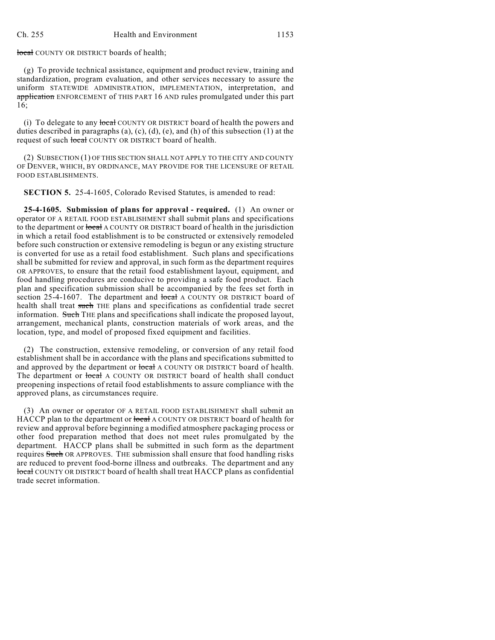## local COUNTY OR DISTRICT boards of health;

(g) To provide technical assistance, equipment and product review, training and standardization, program evaluation, and other services necessary to assure the uniform STATEWIDE ADMINISTRATION, IMPLEMENTATION, interpretation, and application ENFORCEMENT of THIS PART 16 AND rules promulgated under this part 16;

(i) To delegate to any local COUNTY OR DISTRICT board of health the powers and duties described in paragraphs (a), (c), (d), (e), and (h) of this subsection (1) at the request of such local COUNTY OR DISTRICT board of health.

(2) SUBSECTION (1) OF THIS SECTION SHALL NOT APPLY TO THE CITY AND COUNTY OF DENVER, WHICH, BY ORDINANCE, MAY PROVIDE FOR THE LICENSURE OF RETAIL FOOD ESTABLISHMENTS.

**SECTION 5.** 25-4-1605, Colorado Revised Statutes, is amended to read:

**25-4-1605. Submission of plans for approval - required.** (1) An owner or operator OF A RETAIL FOOD ESTABLISHMENT shall submit plans and specifications to the department or local A COUNTY OR DISTRICT board of health in the jurisdiction in which a retail food establishment is to be constructed or extensively remodeled before such construction or extensive remodeling is begun or any existing structure is converted for use as a retail food establishment. Such plans and specifications shall be submitted for review and approval, in such form as the department requires OR APPROVES, to ensure that the retail food establishment layout, equipment, and food handling procedures are conducive to providing a safe food product. Each plan and specification submission shall be accompanied by the fees set forth in section 25-4-1607. The department and local A COUNTY OR DISTRICT board of health shall treat such THE plans and specifications as confidential trade secret information. Such THE plans and specifications shall indicate the proposed layout, arrangement, mechanical plants, construction materials of work areas, and the location, type, and model of proposed fixed equipment and facilities.

(2) The construction, extensive remodeling, or conversion of any retail food establishment shall be in accordance with the plans and specifications submitted to and approved by the department or local A COUNTY OR DISTRICT board of health. The department or local A COUNTY OR DISTRICT board of health shall conduct preopening inspections of retail food establishments to assure compliance with the approved plans, as circumstances require.

(3) An owner or operator OF A RETAIL FOOD ESTABLISHMENT shall submit an HACCP plan to the department or local A COUNTY OR DISTRICT board of health for review and approval before beginning a modified atmosphere packaging process or other food preparation method that does not meet rules promulgated by the department. HACCP plans shall be submitted in such form as the department requires Such OR APPROVES. THE submission shall ensure that food handling risks are reduced to prevent food-borne illness and outbreaks. The department and any local COUNTY OR DISTRICT board of health shall treat HACCP plans as confidential trade secret information.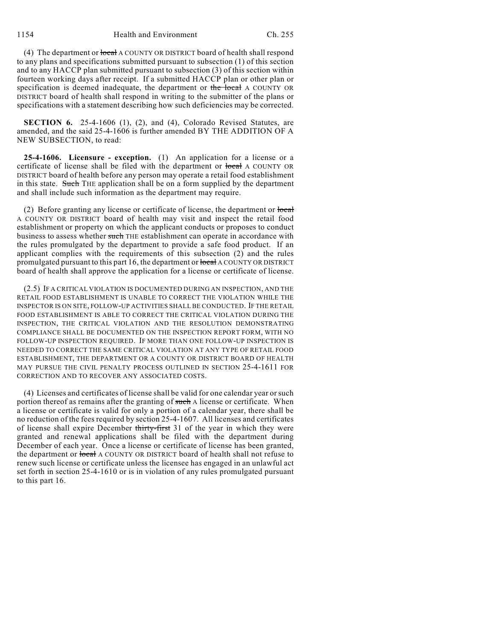1154 Health and Environment Ch. 255

(4) The department or local A COUNTY OR DISTRICT board of health shall respond to any plans and specifications submitted pursuant to subsection (1) of this section and to any HACCP plan submitted pursuant to subsection (3) of this section within fourteen working days after receipt. If a submitted HACCP plan or other plan or specification is deemed inadequate, the department or the local A COUNTY OR DISTRICT board of health shall respond in writing to the submitter of the plans or specifications with a statement describing how such deficiencies may be corrected.

**SECTION 6.** 25-4-1606 (1), (2), and (4), Colorado Revised Statutes, are amended, and the said 25-4-1606 is further amended BY THE ADDITION OF A NEW SUBSECTION, to read:

**25-4-1606. Licensure - exception.** (1) An application for a license or a certificate of license shall be filed with the department or local A COUNTY OR DISTRICT board of health before any person may operate a retail food establishment in this state. Such THE application shall be on a form supplied by the department and shall include such information as the department may require.

(2) Before granting any license or certificate of license, the department or local A COUNTY OR DISTRICT board of health may visit and inspect the retail food establishment or property on which the applicant conducts or proposes to conduct business to assess whether such THE establishment can operate in accordance with the rules promulgated by the department to provide a safe food product. If an applicant complies with the requirements of this subsection (2) and the rules promulgated pursuant to this part 16, the department or local A COUNTY OR DISTRICT board of health shall approve the application for a license or certificate of license.

(2.5) IF A CRITICAL VIOLATION IS DOCUMENTED DURING AN INSPECTION, AND THE RETAIL FOOD ESTABLISHMENT IS UNABLE TO CORRECT THE VIOLATION WHILE THE INSPECTOR IS ON SITE, FOLLOW-UP ACTIVITIES SHALL BE CONDUCTED. IF THE RETAIL FOOD ESTABLISHMENT IS ABLE TO CORRECT THE CRITICAL VIOLATION DURING THE INSPECTION, THE CRITICAL VIOLATION AND THE RESOLUTION DEMONSTRATING COMPLIANCE SHALL BE DOCUMENTED ON THE INSPECTION REPORT FORM, WITH NO FOLLOW-UP INSPECTION REQUIRED. IF MORE THAN ONE FOLLOW-UP INSPECTION IS NEEDED TO CORRECT THE SAME CRITICAL VIOLATION AT ANY TYPE OF RETAIL FOOD ESTABLISHMENT, THE DEPARTMENT OR A COUNTY OR DISTRICT BOARD OF HEALTH MAY PURSUE THE CIVIL PENALTY PROCESS OUTLINED IN SECTION 25-4-1611 FOR CORRECTION AND TO RECOVER ANY ASSOCIATED COSTS.

(4) Licenses and certificates of license shall be valid for one calendar year or such portion thereof as remains after the granting of such A license or certificate. When a license or certificate is valid for only a portion of a calendar year, there shall be no reduction of the fees required by section 25-4-1607. All licenses and certificates of license shall expire December thirty-first 31 of the year in which they were granted and renewal applications shall be filed with the department during December of each year. Once a license or certificate of license has been granted, the department or local A COUNTY OR DISTRICT board of health shall not refuse to renew such license or certificate unless the licensee has engaged in an unlawful act set forth in section 25-4-1610 or is in violation of any rules promulgated pursuant to this part 16.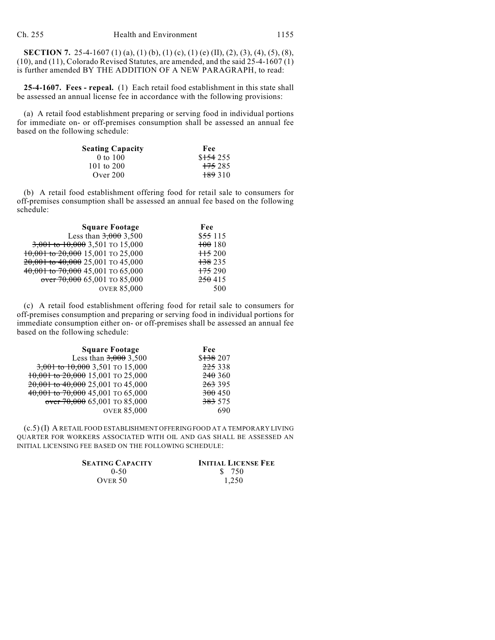**SECTION 7.** 25-4-1607 (1) (a), (1) (b), (1) (c), (1) (e) (II), (2), (3), (4), (5), (8), (10), and (11), Colorado Revised Statutes, are amended, and the said 25-4-1607 (1) is further amended BY THE ADDITION OF A NEW PARAGRAPH, to read:

**25-4-1607. Fees - repeal.** (1) Each retail food establishment in this state shall be assessed an annual license fee in accordance with the following provisions:

(a) A retail food establishment preparing or serving food in individual portions for immediate on- or off-premises consumption shall be assessed an annual fee based on the following schedule:

| <b>Seating Capacity</b> | Fee                |
|-------------------------|--------------------|
| $0$ to $100$            | \$154255           |
| 101 to $200$            | <del>175</del> 285 |
| Over $200$              | <del>189</del> 310 |

(b) A retail food establishment offering food for retail sale to consumers for off-premises consumption shall be assessed an annual fee based on the following schedule:

| <b>Square Footage</b>             | Fee                |
|-----------------------------------|--------------------|
| Less than $3,000$ 3,500           | $$55\,115$         |
| 3,001 to 10,000 3,501 TO 15,000   | 100180             |
| 10,001 to 20,000 15,001 TO 25,000 | $\frac{115}{200}$  |
| 20,001 to 40,000 25,001 TO 45,000 | <del>138</del> 235 |
| 40,001 to 70,000 45,001 TO 65,000 | $+75290$           |
| $over 70,000$ 65,001 TO 85,000    | 250415             |
| <b>OVER 85,000</b>                | 500                |

(c) A retail food establishment offering food for retail sale to consumers for off-premises consumption and preparing or serving food in individual portions for immediate consumption either on- or off-premises shall be assessed an annual fee based on the following schedule:

| <b>Square Footage</b>                 | Fee         |
|---------------------------------------|-------------|
| Less than $3,000$ 3,500               | $$138\,207$ |
| 3,001 to 10,000 3,501 TO 15,000       | 225 338     |
| $10,001$ to $20,000$ 15,001 TO 25,000 | 240360      |
| 20,001 to 40,000 25,001 TO 45,000     | 263 395     |
| 40,001 to 70,000 45,001 TO 65,000     | 300450      |
| $over 70,000$ 65,001 TO 85,000        | 383 575     |
| <b>OVER 85,000</b>                    | 690         |

(c.5) (I) A RETAIL FOOD ESTABLISHMENT OFFERING FOOD AT A TEMPORARY LIVING QUARTER FOR WORKERS ASSOCIATED WITH OIL AND GAS SHALL BE ASSESSED AN INITIAL LICENSING FEE BASED ON THE FOLLOWING SCHEDULE:

| <b>SEATING CAPACITY</b> | <b>INITIAL LICENSE FEE</b> |
|-------------------------|----------------------------|
| $0 - 50$                | \$ 750                     |
| OVER 50                 | 1.250                      |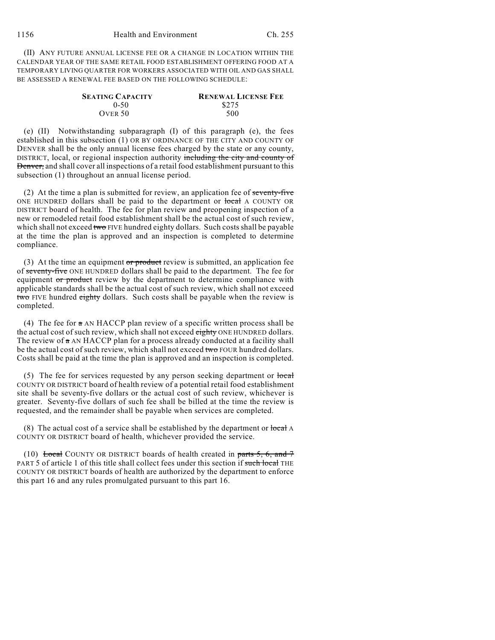(II) ANY FUTURE ANNUAL LICENSE FEE OR A CHANGE IN LOCATION WITHIN THE CALENDAR YEAR OF THE SAME RETAIL FOOD ESTABLISHMENT OFFERING FOOD AT A TEMPORARY LIVING QUARTER FOR WORKERS ASSOCIATED WITH OIL AND GAS SHALL BE ASSESSED A RENEWAL FEE BASED ON THE FOLLOWING SCHEDULE:

| <b>SEATING CAPACITY</b> | <b>RENEWAL LICENSE FEE</b> |
|-------------------------|----------------------------|
| $0-50$                  | \$275                      |
| OVER 50                 | 500                        |

(e) (II) Notwithstanding subparagraph (I) of this paragraph (e), the fees established in this subsection (1) OR BY ORDINANCE OF THE CITY AND COUNTY OF DENVER shall be the only annual license fees charged by the state or any county, DISTRICT, local, or regional inspection authority including the city and county of Denver, and shall cover all inspections of a retail food establishment pursuant to this subsection (1) throughout an annual license period.

(2) At the time a plan is submitted for review, an application fee of seventy-five ONE HUNDRED dollars shall be paid to the department or local A COUNTY OR DISTRICT board of health. The fee for plan review and preopening inspection of a new or remodeled retail food establishment shall be the actual cost of such review, which shall not exceed two FIVE hundred eighty dollars. Such costs shall be payable at the time the plan is approved and an inspection is completed to determine compliance.

(3) At the time an equipment or product review is submitted, an application fee of seventy-five ONE HUNDRED dollars shall be paid to the department. The fee for equipment or product review by the department to determine compliance with applicable standards shall be the actual cost of such review, which shall not exceed two FIVE hundred eighty dollars. Such costs shall be payable when the review is completed.

(4) The fee for a AN HACCP plan review of a specific written process shall be the actual cost of such review, which shall not exceed eighty ONE HUNDRED dollars. The review of  $\alpha$  AN HACCP plan for a process already conducted at a facility shall be the actual cost of such review, which shall not exceed two FOUR hundred dollars. Costs shall be paid at the time the plan is approved and an inspection is completed.

(5) The fee for services requested by any person seeking department or  $\frac{\text{local}}{\text{local}}$ COUNTY OR DISTRICT board of health review of a potential retail food establishment site shall be seventy-five dollars or the actual cost of such review, whichever is greater. Seventy-five dollars of such fee shall be billed at the time the review is requested, and the remainder shall be payable when services are completed.

(8) The actual cost of a service shall be established by the department or  $\frac{\text{local}}{\text{A}}$ COUNTY OR DISTRICT board of health, whichever provided the service.

(10) Local COUNTY OR DISTRICT boards of health created in parts 5, 6, and  $\tau$ PART 5 of article 1 of this title shall collect fees under this section if such local THE COUNTY OR DISTRICT boards of health are authorized by the department to enforce this part 16 and any rules promulgated pursuant to this part 16.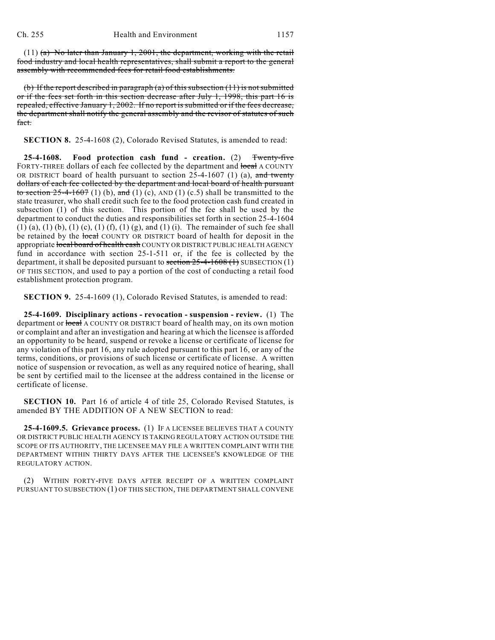(11)  $(a)$  No later than January 1, 2001, the department, working with the retail food industry and local health representatives, shall submit a report to the general assembly with recommended fees for retail food establishments.

(b) If the report described in paragraph (a) of this subsection  $(11)$  is not submitted or if the fees set forth in this section decrease after July 1, 1998, this part 16 is repealed, effective January 1, 2002. If no report is submitted or if the fees decrease, the department shall notify the general assembly and the revisor of statutes of such fact.

**SECTION 8.** 25-4-1608 (2), Colorado Revised Statutes, is amended to read:

**25-4-1608. Food protection cash fund - creation.** (2) Twenty-five FORTY-THREE dollars of each fee collected by the department and local A COUNTY OR DISTRICT board of health pursuant to section  $25-4-1607$  (1) (a), and twenty dollars of each fee collected by the department and local board of health pursuant to section  $25-4-1607$  (1) (b), and (1) (c), AND (1) (c.5) shall be transmitted to the state treasurer, who shall credit such fee to the food protection cash fund created in subsection (1) of this section. This portion of the fee shall be used by the department to conduct the duties and responsibilities set forth in section 25-4-1604 (1) (a), (1) (b), (1) (c), (1) (f), (1) (g), and (1) (i). The remainder of such fee shall be retained by the local COUNTY OR DISTRICT board of health for deposit in the appropriate local board of health cash COUNTY OR DISTRICT PUBLIC HEALTH AGENCY fund in accordance with section 25-1-511 or, if the fee is collected by the department, it shall be deposited pursuant to section  $25-4-1608$  (1) SUBSECTION (1) OF THIS SECTION, and used to pay a portion of the cost of conducting a retail food establishment protection program.

**SECTION 9.** 25-4-1609 (1), Colorado Revised Statutes, is amended to read:

**25-4-1609. Disciplinary actions - revocation - suspension - review.** (1) The department or local A COUNTY OR DISTRICT board of health may, on its own motion or complaint and after an investigation and hearing at which the licensee is afforded an opportunity to be heard, suspend or revoke a license or certificate of license for any violation of this part 16, any rule adopted pursuant to this part 16, or any of the terms, conditions, or provisions of such license or certificate of license. A written notice of suspension or revocation, as well as any required notice of hearing, shall be sent by certified mail to the licensee at the address contained in the license or certificate of license.

**SECTION 10.** Part 16 of article 4 of title 25, Colorado Revised Statutes, is amended BY THE ADDITION OF A NEW SECTION to read:

**25-4-1609.5. Grievance process.** (1) IF A LICENSEE BELIEVES THAT A COUNTY OR DISTRICT PUBLIC HEALTH AGENCY IS TAKING REGULATORY ACTION OUTSIDE THE SCOPE OF ITS AUTHORITY, THE LICENSEE MAY FILE A WRITTEN COMPLAINT WITH THE DEPARTMENT WITHIN THIRTY DAYS AFTER THE LICENSEE'S KNOWLEDGE OF THE REGULATORY ACTION.

(2) WITHIN FORTY-FIVE DAYS AFTER RECEIPT OF A WRITTEN COMPLAINT PURSUANT TO SUBSECTION (1) OF THIS SECTION, THE DEPARTMENT SHALL CONVENE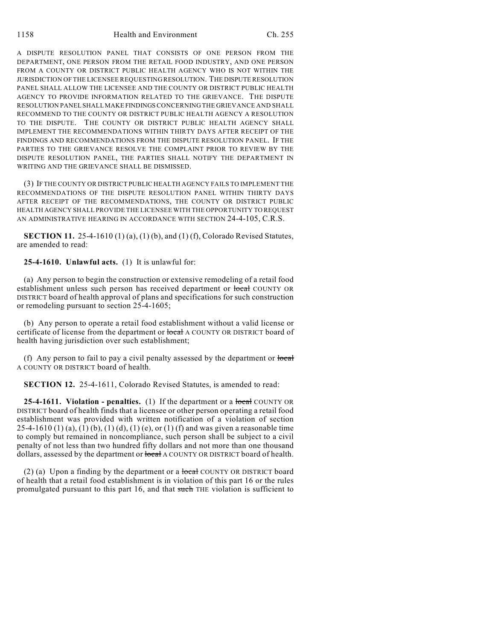A DISPUTE RESOLUTION PANEL THAT CONSISTS OF ONE PERSON FROM THE DEPARTMENT, ONE PERSON FROM THE RETAIL FOOD INDUSTRY, AND ONE PERSON FROM A COUNTY OR DISTRICT PUBLIC HEALTH AGENCY WHO IS NOT WITHIN THE JURISDICTION OF THE LICENSEE REQUESTING RESOLUTION. THE DISPUTE RESOLUTION PANEL SHALL ALLOW THE LICENSEE AND THE COUNTY OR DISTRICT PUBLIC HEALTH AGENCY TO PROVIDE INFORMATION RELATED TO THE GRIEVANCE. THE DISPUTE RESOLUTION PANEL SHALL MAKE FINDINGS CONCERNING THE GRIEVANCE AND SHALL RECOMMEND TO THE COUNTY OR DISTRICT PUBLIC HEALTH AGENCY A RESOLUTION TO THE DISPUTE. THE COUNTY OR DISTRICT PUBLIC HEALTH AGENCY SHALL IMPLEMENT THE RECOMMENDATIONS WITHIN THIRTY DAYS AFTER RECEIPT OF THE FINDINGS AND RECOMMENDATIONS FROM THE DISPUTE RESOLUTION PANEL. IF THE PARTIES TO THE GRIEVANCE RESOLVE THE COMPLAINT PRIOR TO REVIEW BY THE DISPUTE RESOLUTION PANEL, THE PARTIES SHALL NOTIFY THE DEPARTMENT IN WRITING AND THE GRIEVANCE SHALL BE DISMISSED.

(3) IF THE COUNTY OR DISTRICT PUBLIC HEALTH AGENCY FAILS TO IMPLEMENT THE RECOMMENDATIONS OF THE DISPUTE RESOLUTION PANEL WITHIN THIRTY DAYS AFTER RECEIPT OF THE RECOMMENDATIONS, THE COUNTY OR DISTRICT PUBLIC HEALTH AGENCY SHALL PROVIDE THE LICENSEE WITH THE OPPORTUNITY TO REQUEST AN ADMINISTRATIVE HEARING IN ACCORDANCE WITH SECTION 24-4-105, C.R.S.

**SECTION 11.** 25-4-1610 (1) (a), (1) (b), and (1) (f), Colorado Revised Statutes, are amended to read:

**25-4-1610. Unlawful acts.** (1) It is unlawful for:

(a) Any person to begin the construction or extensive remodeling of a retail food establishment unless such person has received department or local COUNTY OR DISTRICT board of health approval of plans and specifications for such construction or remodeling pursuant to section 25-4-1605;

(b) Any person to operate a retail food establishment without a valid license or certificate of license from the department or local A COUNTY OR DISTRICT board of health having jurisdiction over such establishment;

(f) Any person to fail to pay a civil penalty assessed by the department or  $\frac{\partial \phi}{\partial x}$ A COUNTY OR DISTRICT board of health.

**SECTION 12.** 25-4-1611, Colorado Revised Statutes, is amended to read:

**25-4-1611. Violation - penalties.** (1) If the department or a **local** COUNTY OR DISTRICT board of health finds that a licensee or other person operating a retail food establishment was provided with written notification of a violation of section 25-4-1610 (1) (a), (1) (b), (1) (d), (1) (e), or (1) (f) and was given a reasonable time to comply but remained in noncompliance, such person shall be subject to a civil penalty of not less than two hundred fifty dollars and not more than one thousand dollars, assessed by the department or local A COUNTY OR DISTRICT board of health.

(2) (a) Upon a finding by the department or a local COUNTY OR DISTRICT board of health that a retail food establishment is in violation of this part 16 or the rules promulgated pursuant to this part 16, and that such THE violation is sufficient to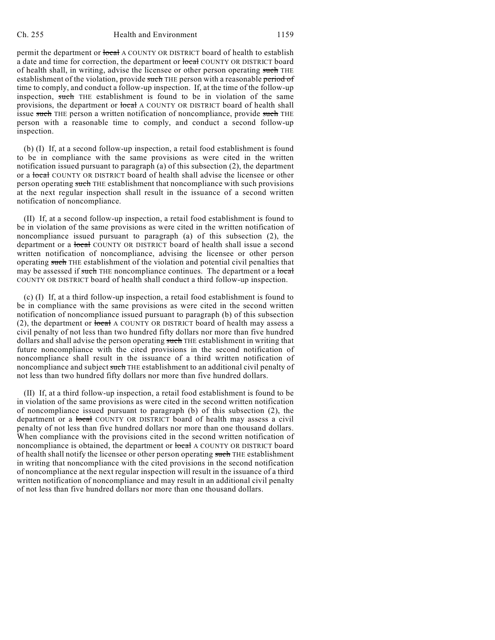permit the department or local A COUNTY OR DISTRICT board of health to establish a date and time for correction, the department or local COUNTY OR DISTRICT board of health shall, in writing, advise the licensee or other person operating such THE establishment of the violation, provide such THE person with a reasonable period of time to comply, and conduct a follow-up inspection. If, at the time of the follow-up inspection, such THE establishment is found to be in violation of the same provisions, the department or local A COUNTY OR DISTRICT board of health shall issue such THE person a written notification of noncompliance, provide such THE person with a reasonable time to comply, and conduct a second follow-up inspection.

(b) (I) If, at a second follow-up inspection, a retail food establishment is found to be in compliance with the same provisions as were cited in the written notification issued pursuant to paragraph (a) of this subsection (2), the department or a local COUNTY OR DISTRICT board of health shall advise the licensee or other person operating such THE establishment that noncompliance with such provisions at the next regular inspection shall result in the issuance of a second written notification of noncompliance.

(II) If, at a second follow-up inspection, a retail food establishment is found to be in violation of the same provisions as were cited in the written notification of noncompliance issued pursuant to paragraph (a) of this subsection (2), the department or a local COUNTY OR DISTRICT board of health shall issue a second written notification of noncompliance, advising the licensee or other person operating such THE establishment of the violation and potential civil penalties that may be assessed if such THE noncompliance continues. The department or a local COUNTY OR DISTRICT board of health shall conduct a third follow-up inspection.

(c) (I) If, at a third follow-up inspection, a retail food establishment is found to be in compliance with the same provisions as were cited in the second written notification of noncompliance issued pursuant to paragraph (b) of this subsection (2), the department or  $\frac{1}{\sqrt{1-\frac{1}{n}}}$  A COUNTY OR DISTRICT board of health may assess a civil penalty of not less than two hundred fifty dollars nor more than five hundred dollars and shall advise the person operating such THE establishment in writing that future noncompliance with the cited provisions in the second notification of noncompliance shall result in the issuance of a third written notification of noncompliance and subject such THE establishment to an additional civil penalty of not less than two hundred fifty dollars nor more than five hundred dollars.

(II) If, at a third follow-up inspection, a retail food establishment is found to be in violation of the same provisions as were cited in the second written notification of noncompliance issued pursuant to paragraph (b) of this subsection (2), the department or a local COUNTY OR DISTRICT board of health may assess a civil penalty of not less than five hundred dollars nor more than one thousand dollars. When compliance with the provisions cited in the second written notification of noncompliance is obtained, the department or local A COUNTY OR DISTRICT board of health shall notify the licensee or other person operating such THE establishment in writing that noncompliance with the cited provisions in the second notification of noncompliance at the next regular inspection will result in the issuance of a third written notification of noncompliance and may result in an additional civil penalty of not less than five hundred dollars nor more than one thousand dollars.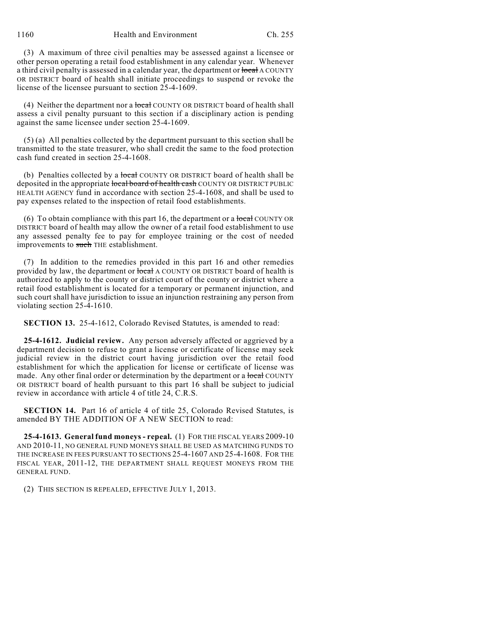1160 Health and Environment Ch. 255

(3) A maximum of three civil penalties may be assessed against a licensee or other person operating a retail food establishment in any calendar year. Whenever a third civil penalty is assessed in a calendar year, the department or local A COUNTY OR DISTRICT board of health shall initiate proceedings to suspend or revoke the license of the licensee pursuant to section 25-4-1609.

(4) Neither the department nor a local COUNTY OR DISTRICT board of health shall assess a civil penalty pursuant to this section if a disciplinary action is pending against the same licensee under section 25-4-1609.

(5) (a) All penalties collected by the department pursuant to this section shall be transmitted to the state treasurer, who shall credit the same to the food protection cash fund created in section 25-4-1608.

(b) Penalties collected by a local COUNTY OR DISTRICT board of health shall be deposited in the appropriate local board of health cash COUNTY OR DISTRICT PUBLIC HEALTH AGENCY fund in accordance with section 25-4-1608, and shall be used to pay expenses related to the inspection of retail food establishments.

(6) To obtain compliance with this part 16, the department or a local COUNTY OR DISTRICT board of health may allow the owner of a retail food establishment to use any assessed penalty fee to pay for employee training or the cost of needed improvements to such THE establishment.

(7) In addition to the remedies provided in this part 16 and other remedies provided by law, the department or  $\frac{1}{\sqrt{1-\frac{1}{n}}}$  A COUNTY OR DISTRICT board of health is authorized to apply to the county or district court of the county or district where a retail food establishment is located for a temporary or permanent injunction, and such court shall have jurisdiction to issue an injunction restraining any person from violating section 25-4-1610.

**SECTION 13.** 25-4-1612, Colorado Revised Statutes, is amended to read:

**25-4-1612. Judicial review.** Any person adversely affected or aggrieved by a department decision to refuse to grant a license or certificate of license may seek judicial review in the district court having jurisdiction over the retail food establishment for which the application for license or certificate of license was made. Any other final order or determination by the department or a local COUNTY OR DISTRICT board of health pursuant to this part 16 shall be subject to judicial review in accordance with article 4 of title 24, C.R.S.

**SECTION 14.** Part 16 of article 4 of title 25, Colorado Revised Statutes, is amended BY THE ADDITION OF A NEW SECTION to read:

**25-4-1613. General fund moneys - repeal.** (1) FOR THE FISCAL YEARS 2009-10 AND 2010-11, NO GENERAL FUND MONEYS SHALL BE USED AS MATCHING FUNDS TO THE INCREASE IN FEES PURSUANT TO SECTIONS 25-4-1607 AND 25-4-1608. FOR THE FISCAL YEAR, 2011-12, THE DEPARTMENT SHALL REQUEST MONEYS FROM THE GENERAL FUND.

(2) THIS SECTION IS REPEALED, EFFECTIVE JULY 1, 2013.